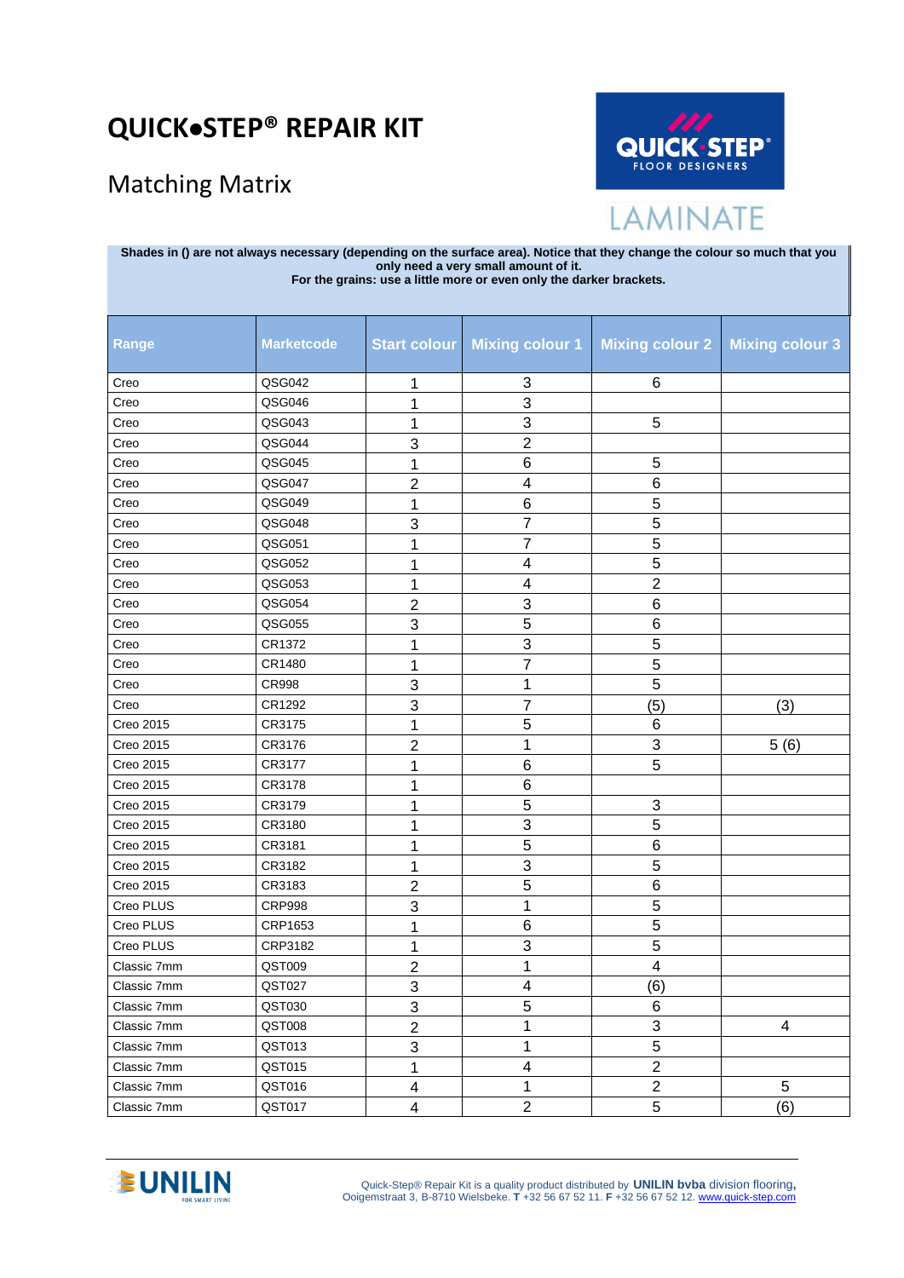## **QUICK**•**STEP® REPAIR KIT**

## Matching Matrix



LAMINATE

| Shades in () are not always necessary (depending on the surface area). Notice that they change the colour so much that you<br>only need a very small amount of it.<br>For the grains: use a little more or even only the darker brackets. |                   |                         |                           |                        |                        |  |
|-------------------------------------------------------------------------------------------------------------------------------------------------------------------------------------------------------------------------------------------|-------------------|-------------------------|---------------------------|------------------------|------------------------|--|
| Range                                                                                                                                                                                                                                     | <b>Marketcode</b> | Start colour            | <b>Mixing colour 1</b>    | <b>Mixing colour 2</b> | <b>Mixing colour 3</b> |  |
| Creo                                                                                                                                                                                                                                      | QSG042            | 1                       | 3                         | 6                      |                        |  |
| Creo                                                                                                                                                                                                                                      | QSG046            | 1                       | 3                         |                        |                        |  |
| Creo                                                                                                                                                                                                                                      | QSG043            | 1                       | 3                         | 5                      |                        |  |
| Creo                                                                                                                                                                                                                                      | QSG044            | 3                       | $\overline{c}$            |                        |                        |  |
| Creo                                                                                                                                                                                                                                      | QSG045            | 1                       | 6                         | 5                      |                        |  |
| Creo                                                                                                                                                                                                                                      | QSG047            | 2                       | 4                         | 6                      |                        |  |
| Creo                                                                                                                                                                                                                                      | QSG049            | 1                       | 6                         | 5                      |                        |  |
| Creo                                                                                                                                                                                                                                      | QSG048            | 3                       | 7                         | 5                      |                        |  |
| Creo                                                                                                                                                                                                                                      | QSG051            | 1                       | $\overline{7}$            | 5                      |                        |  |
| Creo                                                                                                                                                                                                                                      | QSG052            | 1                       | 4                         | 5                      |                        |  |
| Creo                                                                                                                                                                                                                                      | QSG053            | 1                       | 4                         | $\overline{2}$         |                        |  |
| Creo                                                                                                                                                                                                                                      | QSG054            | 2                       | 3                         | 6                      |                        |  |
| Creo                                                                                                                                                                                                                                      | QSG055            | 3                       | 5                         | $6\phantom{1}$         |                        |  |
| Creo                                                                                                                                                                                                                                      | CR1372            |                         | $\ensuremath{\mathsf{3}}$ | 5                      |                        |  |
| Creo                                                                                                                                                                                                                                      | CR1480            | 1                       | 7                         | 5                      |                        |  |
| Creo                                                                                                                                                                                                                                      | <b>CR998</b>      | 3                       | 1                         | 5                      |                        |  |
| Creo                                                                                                                                                                                                                                      | CR1292            | 3                       | 7                         | (5)                    | (3)                    |  |
| Creo 2015                                                                                                                                                                                                                                 | CR3175            | 1                       | 5                         | 6                      |                        |  |
| Creo 2015                                                                                                                                                                                                                                 | CR3176            | 2                       | 1                         | 3                      | 5(6)                   |  |
| Creo 2015                                                                                                                                                                                                                                 | CR3177            | 1                       | 6                         | 5                      |                        |  |
| Creo 2015                                                                                                                                                                                                                                 | CR3178            |                         | 6                         |                        |                        |  |
| Creo 2015                                                                                                                                                                                                                                 | CR3179            |                         | 5                         | 3                      |                        |  |
| Creo 2015                                                                                                                                                                                                                                 | CR3180            |                         | 3                         | 5                      |                        |  |
| Creo 2015                                                                                                                                                                                                                                 | CR3181            | 1                       | 5                         | 6                      |                        |  |
| Creo 2015                                                                                                                                                                                                                                 | CR3182            | 1                       | 3                         | 5                      |                        |  |
| Creo 2015                                                                                                                                                                                                                                 | CR3183            | 2                       | 5                         | 6                      |                        |  |
| Creo PLUS                                                                                                                                                                                                                                 | <b>CRP998</b>     | 3                       | 1                         | 5                      |                        |  |
| Creo PLUS                                                                                                                                                                                                                                 | CRP1653           | 1                       | $\,6$                     | $\overline{5}$         |                        |  |
| Creo PLUS                                                                                                                                                                                                                                 | CRP3182           | 1                       | 3                         | 5                      |                        |  |
| Classic 7mm                                                                                                                                                                                                                               | QST009            | $\boldsymbol{2}$        | 1                         | 4                      |                        |  |
| Classic 7mm                                                                                                                                                                                                                               | QST027            | 3                       | 4                         | (6)                    |                        |  |
| Classic 7mm                                                                                                                                                                                                                               | QST030            | 3                       | 5                         | 6                      |                        |  |
| Classic 7mm                                                                                                                                                                                                                               | QST008            | $\overline{c}$          | 1                         | 3                      | 4                      |  |
| Classic 7mm                                                                                                                                                                                                                               | QST013            | 3                       | $\mathbf{1}$              | 5                      |                        |  |
| Classic 7mm                                                                                                                                                                                                                               | QST015            | 1                       | 4                         | $\overline{2}$         |                        |  |
| Classic 7mm                                                                                                                                                                                                                               | QST016            | 4                       | $\mathbf{1}$              | $\overline{2}$         | 5                      |  |
| Classic 7mm                                                                                                                                                                                                                               | QST017            | $\overline{\mathbf{4}}$ | $\overline{2}$            | 5                      | (6)                    |  |

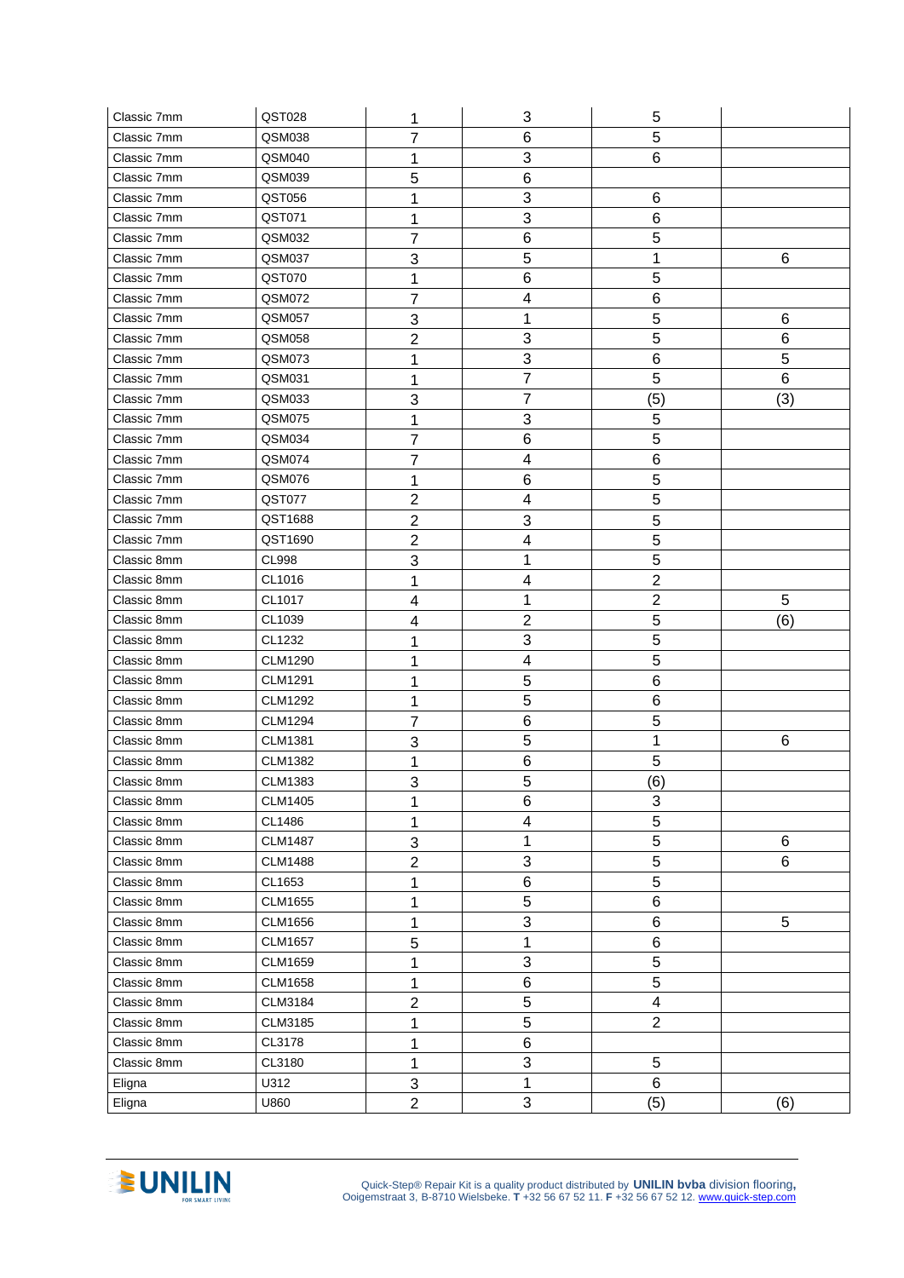| Classic 7mm      | QST028         | 1                              | 3                         | 5                       |                 |
|------------------|----------------|--------------------------------|---------------------------|-------------------------|-----------------|
| Classic 7mm      | QSM038         | 7                              | 6                         | 5                       |                 |
| Classic 7mm      | QSM040         | 1                              | 3                         | 6                       |                 |
| Classic 7mm      | QSM039         | 5                              | $6\phantom{1}$            |                         |                 |
| Classic 7mm      | QST056         | 1                              | $\mathsf 3$               | 6                       |                 |
| Classic 7mm      | QST071         | 1                              | 3                         | 6                       |                 |
| Classic 7mm      | QSM032         | 7                              | 6                         | 5                       |                 |
| Classic 7mm      | QSM037         | 3                              | 5                         | 1                       | 6               |
| Classic 7mm      | QST070         | 1                              | 6                         | 5                       |                 |
| Classic 7mm      | QSM072         | 7                              | 4                         | 6                       |                 |
| Classic 7mm      | <b>QSM057</b>  | 3                              | 1                         | 5                       | 6               |
| Classic 7mm      | QSM058         | 2                              | 3                         | 5                       | 6               |
| Classic 7mm      | QSM073         | 1                              | 3                         | 6                       | 5               |
| Classic 7mm      | QSM031         | 1                              | $\overline{7}$            | 5                       | $6\phantom{1}6$ |
| Classic 7mm      | QSM033         | 3                              | $\overline{7}$            | (5)                     | (3)             |
| Classic 7mm      | QSM075         | 1                              | 3                         | 5                       |                 |
| Classic 7mm      | QSM034         | 7                              | 6                         | 5                       |                 |
| Classic 7mm      | QSM074         | $\overline{7}$                 | $\overline{\mathbf{4}}$   | $6\phantom{1}6$         |                 |
| Classic 7mm      | QSM076         | 1                              | $6\phantom{1}6$           | 5                       |                 |
| Classic 7mm      | QST077         | $\overline{2}$                 | 4                         | 5                       |                 |
| Classic 7mm      | QST1688        | $\overline{2}$                 | 3                         | 5                       |                 |
| Classic 7mm      | QST1690        | $\overline{2}$                 | 4                         | 5                       |                 |
| Classic 8mm      | <b>CL998</b>   | 3                              | 1                         | 5                       |                 |
| Classic 8mm      | CL1016         | 1                              | 4                         | $\overline{2}$          |                 |
| Classic 8mm      | CL1017         | 4                              | 1                         | $\overline{2}$          | 5               |
| Classic 8mm      | CL1039         | 4                              | $\overline{2}$            | 5                       | (6)             |
| Classic 8mm      | CL1232         | 1                              | 3                         | 5                       |                 |
| Classic 8mm      | <b>CLM1290</b> |                                | $\overline{\mathbf{4}}$   | 5                       |                 |
|                  |                | 1                              |                           |                         |                 |
| Classic 8mm      | <b>CLM1291</b> | 1                              | 5                         | 6                       |                 |
| Classic 8mm      | <b>CLM1292</b> | 1                              | 5                         | 6                       |                 |
| Classic 8mm      | <b>CLM1294</b> | 7                              | 6                         | 5                       |                 |
| Classic 8mm      | <b>CLM1381</b> | 3                              | 5                         | 1                       | 6               |
| Classic 8mm      | <b>CLM1382</b> | 1                              | 6                         | 5                       |                 |
| Classic 8mm      | <b>CLM1383</b> | 3                              | 5                         | (6)                     |                 |
| Classic 8mm      | CLM1405        | 1                              | 6                         | 3                       |                 |
| Classic 8mm      | CL1486         | 1                              | 4                         | 5                       |                 |
| Classic 8mm      | <b>CLM1487</b> | $\sqrt{3}$                     | $\mathbf 1$               | 5                       | 6               |
| Classic 8mm      | <b>CLM1488</b> | $\overline{2}$                 | $\mathbf{3}$              | 5                       | $\,6$           |
| Classic 8mm      | CL1653         | 1                              | $\,6$                     | 5                       |                 |
| Classic 8mm      | CLM1655        | 1                              | $\overline{5}$            | 6                       |                 |
| Classic 8mm      | CLM1656        | 1                              | $\mathsf 3$               | 6                       | $\overline{5}$  |
| Classic 8mm      | <b>CLM1657</b> | 5                              | $\mathbf 1$               | 6                       |                 |
| Classic 8mm      | <b>CLM1659</b> | 1                              | 3                         | $\overline{5}$          |                 |
| Classic 8mm      | <b>CLM1658</b> | 1                              | $\,6$                     | 5                       |                 |
| Classic 8mm      | <b>CLM3184</b> | $\overline{2}$                 | 5                         | $\overline{\mathbf{4}}$ |                 |
| Classic 8mm      | CLM3185        | 1                              | 5                         | $\overline{2}$          |                 |
| Classic 8mm      | CL3178         | 1                              | 6                         |                         |                 |
| Classic 8mm      | CL3180         | 1                              | $\ensuremath{\mathsf{3}}$ | 5                       |                 |
| Eligna<br>Eligna | U312           | $\mathbf{3}$<br>$\overline{2}$ | $\mathbf 1$<br>3          | 6<br>(5)                | (6)             |

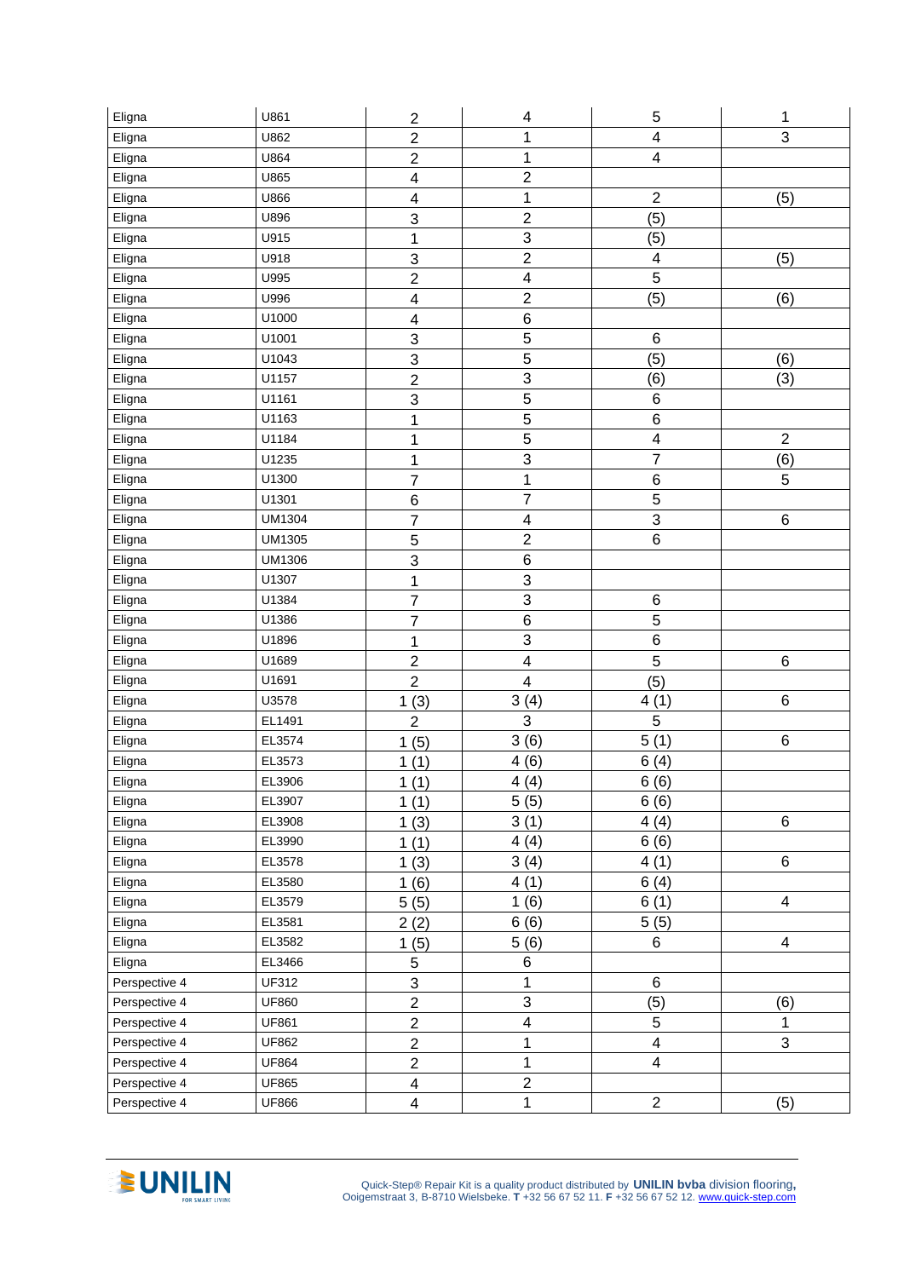| Eligna        | U861          | $\overline{c}$            | 4                       | 5                       | 1                       |
|---------------|---------------|---------------------------|-------------------------|-------------------------|-------------------------|
| Eligna        | U862          | $\overline{c}$            | 1                       | $\overline{\mathbf{4}}$ | 3                       |
| Eligna        | U864          | $\overline{2}$            | 1                       | $\overline{\mathbf{4}}$ |                         |
| Eligna        | U865          | $\overline{\mathbf{4}}$   | $\overline{2}$          |                         |                         |
| Eligna        | U866          | $\overline{\mathbf{4}}$   | $\mathbf 1$             | $\overline{c}$          | (5)                     |
| Eligna        | U896          | $\mathsf 3$               | $\overline{2}$          | (5)                     |                         |
| Eligna        | U915          | 1                         | $\overline{3}$          | (5)                     |                         |
| Eligna        | U918          | 3                         | $\overline{2}$          | $\overline{\mathbf{4}}$ | (5)                     |
| Eligna        | U995          | $\overline{c}$            | $\overline{\mathbf{4}}$ | $\overline{5}$          |                         |
| Eligna        | U996          | $\overline{\mathbf{4}}$   | $\overline{2}$          | (5)                     | (6)                     |
| Eligna        | U1000         | $\overline{\mathbf{4}}$   | $\overline{6}$          |                         |                         |
| Eligna        | U1001         | $\sqrt{3}$                | $\overline{5}$          | 6                       |                         |
| Eligna        | U1043         | $\ensuremath{\mathsf{3}}$ | 5                       | (5)                     | (6)                     |
| Eligna        | U1157         | $\overline{c}$            | $\overline{3}$          | (6)                     | (3)                     |
| Eligna        | U1161         | 3                         | $\overline{5}$          | 6                       |                         |
| Eligna        | U1163         | 1                         | 5                       | 6                       |                         |
| Eligna        | U1184         | 1                         | $\overline{5}$          | $\overline{\mathbf{4}}$ | $\overline{2}$          |
| Eligna        | U1235         | 1                         | 3                       | $\overline{7}$          | (6)                     |
| Eligna        | U1300         | $\overline{7}$            | $\mathbf 1$             | $\,6$                   | 5                       |
| Eligna        | U1301         | $\,6$                     | $\overline{7}$          | $\overline{5}$          |                         |
| Eligna        | <b>UM1304</b> | $\overline{7}$            | 4                       | $\overline{3}$          | $\,6\,$                 |
| Eligna        | <b>UM1305</b> | 5                         | $\mathbf 2$             | 6                       |                         |
| Eligna        | UM1306        | 3                         | $\, 6$                  |                         |                         |
| Eligna        | U1307         | $\mathbf 1$               | $\mathfrak{S}$          |                         |                         |
| Eligna        | U1384         | $\boldsymbol{7}$          | $\overline{3}$          | 6                       |                         |
| Eligna        | U1386         | $\overline{7}$            | $\overline{6}$          | $\overline{5}$          |                         |
| Eligna        | U1896         | 1                         | 3                       | 6                       |                         |
| Eligna        | U1689         | $\mathbf 2$               | $\overline{\mathbf{4}}$ | 5                       | $\,6$                   |
| Eligna        | U1691         | $\overline{2}$            | $\overline{\mathbf{4}}$ | (5)                     |                         |
| Eligna        | U3578         | 1(3)                      | 3(4)                    | 4(1)                    | $\,6\,$                 |
| Eligna        | EL1491        | $\overline{2}$            | 3                       | 5                       |                         |
| Eligna        | EL3574        | 1(5)                      | 3(6)                    | 5(1)                    | $\,6$                   |
| Eligna        | EL3573        | 1(1)                      | 4(6)                    | 6(4)                    |                         |
| Eligna        | EL3906        | 1(1)                      | 4(4)                    | 6(6)                    |                         |
| Eligna        | EL3907        | 1(1)                      | 5(5)                    | 6(6)                    |                         |
| Eligna        | EL3908        | 1(3)                      | 3(1)                    | 4(4)                    | $\,6$                   |
| Eligna        | EL3990        | 1(1)                      | 4(4)                    | 6(6)                    |                         |
| Eligna        | EL3578        | 1(3)                      | 3(4)                    | 4(1)                    | 6                       |
| Eligna        | EL3580        | 1(6)                      | 4(1)                    | 6(4)                    |                         |
| Eligna        | EL3579        | 5(5)                      | 1(6)                    | 6(1)                    | $\overline{\mathbf{4}}$ |
| Eligna        | EL3581        | 2(2)                      | 6(6)                    | 5(5)                    |                         |
| Eligna        | EL3582        | 1(5)                      | 5(6)                    | 6                       | $\overline{4}$          |
| Eligna        | EL3466        | 5                         | 6                       |                         |                         |
| Perspective 4 | UF312         | $\ensuremath{\mathsf{3}}$ | 1                       | 6                       |                         |
| Perspective 4 | <b>UF860</b>  | $\overline{c}$            | $\overline{3}$          | (5)                     | (6)                     |
| Perspective 4 | <b>UF861</b>  | $\overline{2}$            | 4                       | 5                       | 1                       |
| Perspective 4 | <b>UF862</b>  | $\overline{2}$            | $\mathbf 1$             | $\overline{\mathbf{4}}$ | 3                       |
| Perspective 4 | <b>UF864</b>  | $\overline{c}$            | $\mathbf 1$             | $\overline{\mathbf{4}}$ |                         |
| Perspective 4 | <b>UF865</b>  | $\overline{\mathbf{4}}$   | $\mathbf 2$             |                         |                         |
| Perspective 4 | <b>UF866</b>  | $\overline{\mathbf{4}}$   | $\mathbf 1$             | $\overline{2}$          | (5)                     |

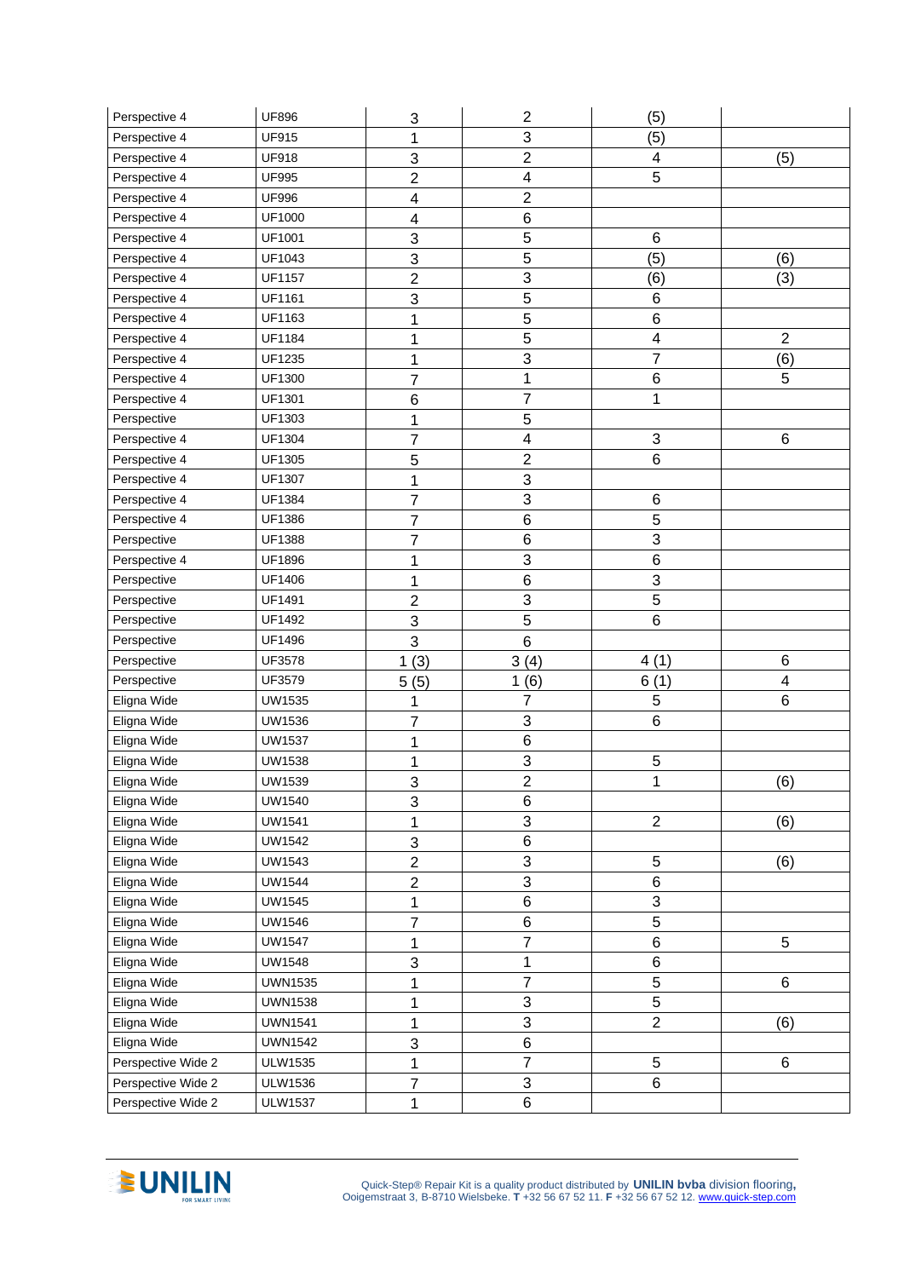| Perspective 4                            | <b>UF896</b>                     | 3              | $\overline{\mathbf{c}}$ | (5)            |                         |
|------------------------------------------|----------------------------------|----------------|-------------------------|----------------|-------------------------|
| Perspective 4                            | <b>UF915</b>                     | 1              | 3                       | (5)            |                         |
| Perspective 4                            | <b>UF918</b>                     | 3              | $\overline{2}$          | 4              | (5)                     |
| Perspective 4                            | <b>UF995</b>                     | $\overline{2}$ | 4                       | 5              |                         |
| Perspective 4                            | <b>UF996</b>                     | 4              | $\overline{c}$          |                |                         |
| Perspective 4                            | UF1000                           | 4              | $\,6$                   |                |                         |
| Perspective 4                            | UF1001                           | 3              | 5                       | 6              |                         |
| Perspective 4                            | UF1043                           | 3              | 5                       | (5)            | (6)                     |
| Perspective 4                            | <b>UF1157</b>                    | $\overline{2}$ | 3                       | (6)            | (3)                     |
| Perspective 4                            | UF1161                           | 3              | 5                       | 6              |                         |
| Perspective 4                            | UF1163                           | 1              | $\sqrt{5}$              | 6              |                         |
| Perspective 4                            | UF1184                           | 1              | $\overline{5}$          | 4              | $\overline{2}$          |
| Perspective 4                            | UF1235                           | 1              | 3                       | 7              | (6)                     |
| Perspective 4                            | UF1300                           | $\overline{7}$ | 1                       | 6              | 5                       |
| Perspective 4                            | UF1301                           | $\,6$          | $\overline{7}$          | 1              |                         |
| Perspective                              | UF1303                           | 1              | $\overline{5}$          |                |                         |
| Perspective 4                            | UF1304                           | 7              | 4                       | 3              | $\,6\,$                 |
| Perspective 4                            | UF1305                           | 5              | $\overline{c}$          | 6              |                         |
| Perspective 4                            | UF1307                           | 1              | 3                       |                |                         |
| Perspective 4                            | UF1384                           | 7              | 3                       | 6              |                         |
| Perspective 4                            | UF1386                           | 7              | 6                       | 5              |                         |
| Perspective                              | UF1388                           | 7              | 6                       | 3              |                         |
| Perspective 4                            | UF1896                           | 1              | 3                       | 6              |                         |
| Perspective                              | UF1406                           | 1              | $\,6$                   | 3              |                         |
| Perspective                              | UF1491                           | $\overline{c}$ | $\overline{3}$          | $\overline{5}$ |                         |
| Perspective                              | UF1492                           | 3              | 5                       | 6              |                         |
|                                          |                                  |                |                         |                |                         |
| Perspective                              | UF1496                           | 3              | 6                       |                |                         |
| Perspective                              | UF3578                           | (3)<br>1       | 3(4)                    | 4(1)           | $\,6$                   |
| Perspective                              | UF3579                           | 5(5)           | 1(6)                    | 6(1)           | $\overline{\mathbf{4}}$ |
| Eligna Wide                              | UW1535                           | 1              | $\overline{7}$          | 5              | 6                       |
| Eligna Wide                              | UW1536                           | 7              | 3                       | 6              |                         |
| Eligna Wide                              | <b>UW1537</b>                    | 1              | 6                       |                |                         |
| Eligna Wide                              | <b>UW1538</b>                    | 1              | 3                       | 5              |                         |
| Eligna Wide                              | UW1539                           | 3              | $\overline{c}$          | 1              | (6)                     |
| Eligna Wide                              | UW1540                           | 3              | 6                       |                |                         |
| Eligna Wide                              | <b>UW1541</b>                    | 1              | 3                       | $\overline{2}$ | (6)                     |
| Eligna Wide                              | UW1542                           | 3              | 6                       |                |                         |
| Eligna Wide                              | UW1543                           | $\overline{c}$ | 3                       | 5              | (6)                     |
| Eligna Wide                              | UW1544                           | $\overline{c}$ | $\overline{3}$          | 6              |                         |
| Eligna Wide                              | UW1545                           | 1              | $\, 6$                  | 3              |                         |
| Eligna Wide                              | UW1546                           | 7              | 6                       | 5              |                         |
| Eligna Wide                              | <b>UW1547</b>                    | 1              | $\overline{7}$          | 6              | 5                       |
| Eligna Wide                              | UW1548                           | 3              | $\mathbf{1}$            | 6              |                         |
| Eligna Wide                              | <b>UWN1535</b>                   | 1              | $\overline{\mathbf{7}}$ | 5              | 6                       |
| Eligna Wide                              | <b>UWN1538</b>                   | 1              | 3                       | 5              |                         |
| Eligna Wide                              | <b>UWN1541</b>                   | 1              | 3                       | $\overline{2}$ | (6)                     |
| Eligna Wide                              | <b>UWN1542</b>                   | 3              | 6                       |                |                         |
| Perspective Wide 2                       | <b>ULW1535</b>                   | 1              | $\overline{7}$          | 5              | $\,6\,$                 |
| Perspective Wide 2<br>Perspective Wide 2 | <b>ULW1536</b><br><b>ULW1537</b> | 7              | $\overline{3}$<br>6     | 6              |                         |

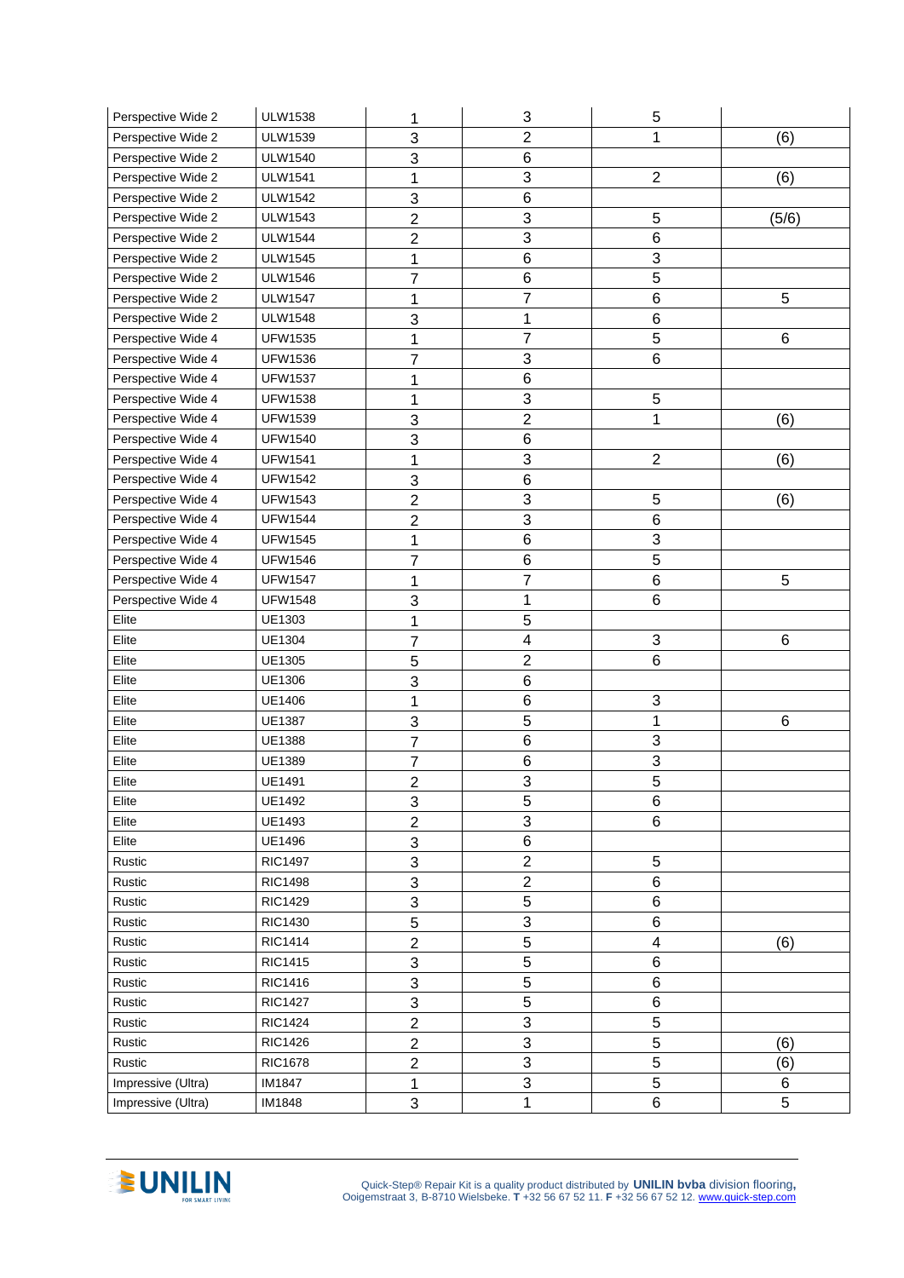| Perspective Wide 2 | <b>ULW1538</b> | 1              | 3                         | 5                       |       |
|--------------------|----------------|----------------|---------------------------|-------------------------|-------|
| Perspective Wide 2 | <b>ULW1539</b> | 3              | $\overline{2}$            | 1                       | (6)   |
| Perspective Wide 2 | <b>ULW1540</b> | 3              | 6                         |                         |       |
| Perspective Wide 2 | <b>ULW1541</b> | 1              | 3                         | $\overline{2}$          | (6)   |
| Perspective Wide 2 | <b>ULW1542</b> | 3              | $\,6$                     |                         |       |
| Perspective Wide 2 | <b>ULW1543</b> | $\overline{c}$ | $\ensuremath{\mathsf{3}}$ | 5                       | (5/6) |
| Perspective Wide 2 | <b>ULW1544</b> | 2              | 3                         | 6                       |       |
| Perspective Wide 2 | <b>ULW1545</b> | 1              | 6                         | 3                       |       |
| Perspective Wide 2 | <b>ULW1546</b> | 7              | $\,6$                     | 5                       |       |
| Perspective Wide 2 | <b>ULW1547</b> | 1              | 7                         | 6                       | 5     |
| Perspective Wide 2 | <b>ULW1548</b> | 3              | 1                         | 6                       |       |
| Perspective Wide 4 | <b>UFW1535</b> | 1              | 7                         | 5                       | 6     |
| Perspective Wide 4 | <b>UFW1536</b> | 7              | 3                         | 6                       |       |
| Perspective Wide 4 | <b>UFW1537</b> | 1              | $\,6$                     |                         |       |
| Perspective Wide 4 | <b>UFW1538</b> | 1              | 3                         | 5                       |       |
| Perspective Wide 4 | <b>UFW1539</b> | 3              | $\overline{c}$            | 1                       | (6)   |
| Perspective Wide 4 | <b>UFW1540</b> | 3              | 6                         |                         |       |
| Perspective Wide 4 | <b>UFW1541</b> | 1              | 3                         | $\overline{2}$          | (6)   |
| Perspective Wide 4 | <b>UFW1542</b> | 3              | $\,6$                     |                         |       |
| Perspective Wide 4 | <b>UFW1543</b> | $\overline{2}$ | $\overline{3}$            | 5                       | (6)   |
| Perspective Wide 4 | <b>UFW1544</b> | $\overline{c}$ | $\overline{3}$            | 6                       |       |
| Perspective Wide 4 | <b>UFW1545</b> | 1              | 6                         | 3                       |       |
| Perspective Wide 4 | <b>UFW1546</b> | $\overline{7}$ | 6                         | 5                       |       |
| Perspective Wide 4 | <b>UFW1547</b> | 1              | $\overline{7}$            | 6                       | 5     |
| Perspective Wide 4 | <b>UFW1548</b> | 3              | 1                         | 6                       |       |
| Elite              | UE1303         | 1              | 5                         |                         |       |
| Elite              | <b>UE1304</b>  | 7              | 4                         | 3                       | 6     |
| Elite              | UE1305         | 5              | $\overline{c}$            | 6                       |       |
| Elite              | UE1306         | 3              | 6                         |                         |       |
| Elite              | UE1406         | 1              | 6                         | 3                       |       |
| Elite              | UE1387         | 3              | 5                         | 1                       | 6     |
| Elite              | UE1388         | 7              | 6                         | 3                       |       |
| Elite              | <b>UE1389</b>  | 7              | 6                         | 3                       |       |
| Elite              | UE1491         | $\overline{2}$ | 3                         | 5                       |       |
| Elite              | <b>UE1492</b>  | 3              | 5                         | 6                       |       |
| Elite              | UE1493         | $\overline{2}$ | 3                         | 6                       |       |
| Elite              | <b>UE1496</b>  | 3              | 6                         |                         |       |
| Rustic             | <b>RIC1497</b> | 3              | $\overline{2}$            | 5                       |       |
| Rustic             | <b>RIC1498</b> | 3              | $\overline{2}$            | 6                       |       |
| Rustic             | <b>RIC1429</b> | 3              | $\sqrt{5}$                | 6                       |       |
| Rustic             | <b>RIC1430</b> | 5              | 3                         | 6                       |       |
| Rustic             | <b>RIC1414</b> | $\overline{2}$ | $\overline{5}$            | $\overline{\mathbf{4}}$ | (6)   |
| Rustic             | <b>RIC1415</b> | 3              | $\overline{5}$            | 6                       |       |
| Rustic             | <b>RIC1416</b> | 3              | 5                         | 6                       |       |
| Rustic             | <b>RIC1427</b> | 3              | $\overline{5}$            | 6                       |       |
| Rustic             | <b>RIC1424</b> | $\overline{2}$ | 3                         | 5                       |       |
| Rustic             | <b>RIC1426</b> | $\overline{2}$ | 3                         | 5                       | (6)   |
| Rustic             | <b>RIC1678</b> | $\overline{2}$ | $\overline{3}$            | $\overline{5}$          | (6)   |
| Impressive (Ultra) | IM1847         | 1              | $\overline{3}$            | 5                       | 6     |
| Impressive (Ultra) | IM1848         | 3              | $\mathbf{1}$              | 6                       | 5     |

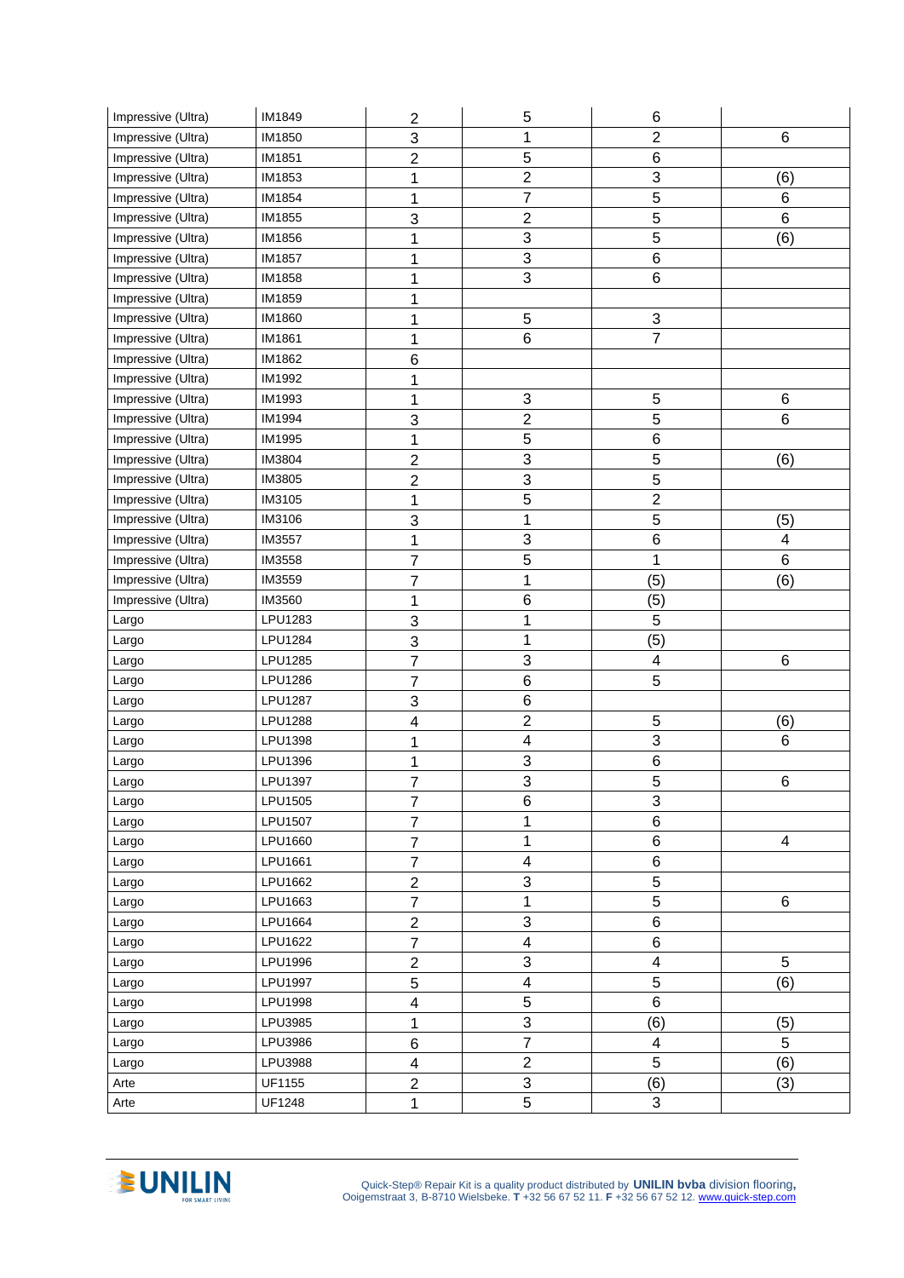| Impressive (Ultra) | IM1849         | $\mathbf 2$             | 5                       | 6                         |                |
|--------------------|----------------|-------------------------|-------------------------|---------------------------|----------------|
| Impressive (Ultra) | IM1850         | 3                       | 1                       | $\overline{2}$            | 6              |
| Impressive (Ultra) | IM1851         | $\overline{2}$          | 5                       | 6                         |                |
| Impressive (Ultra) | IM1853         | 1                       | $\overline{c}$          | 3                         | (6)            |
| Impressive (Ultra) | IM1854         | 1                       | $\overline{7}$          | $\overline{5}$            | 6              |
| Impressive (Ultra) | IM1855         | 3                       | $\overline{c}$          | 5                         | 6              |
| Impressive (Ultra) | IM1856         | 1                       | 3                       | 5                         | (6)            |
| Impressive (Ultra) | <b>IM1857</b>  | 1                       | 3                       | 6                         |                |
| Impressive (Ultra) | IM1858         | 1                       | 3                       | 6                         |                |
| Impressive (Ultra) | IM1859         | 1                       |                         |                           |                |
| Impressive (Ultra) | IM1860         | 1                       | $\mathbf 5$             | $\ensuremath{\mathsf{3}}$ |                |
| Impressive (Ultra) | IM1861         | 1                       | 6                       | $\overline{7}$            |                |
| Impressive (Ultra) | IM1862         | $\,6$                   |                         |                           |                |
| Impressive (Ultra) | IM1992         | 1                       |                         |                           |                |
| Impressive (Ultra) | IM1993         | 1                       | 3                       | 5                         | 6              |
| Impressive (Ultra) | IM1994         | 3                       | $\overline{c}$          | 5                         | 6              |
| Impressive (Ultra) | IM1995         | 1                       | 5                       | 6                         |                |
| Impressive (Ultra) | IM3804         | $\overline{2}$          | 3                       | 5                         | (6)            |
| Impressive (Ultra) | IM3805         | $\mathbf 2$             | $\overline{3}$          | 5                         |                |
| Impressive (Ultra) | IM3105         | 1                       | $\overline{5}$          | $\overline{2}$            |                |
| Impressive (Ultra) | IM3106         | 3                       | 1                       | 5                         | (5)            |
| Impressive (Ultra) | IM3557         | 1                       | 3                       | $\,6$                     | $\overline{4}$ |
| Impressive (Ultra) | IM3558         | $\overline{7}$          | 5                       | 1                         | $6\phantom{1}$ |
| Impressive (Ultra) | IM3559         | $\overline{7}$          | $\mathbf 1$             | (5)                       | (6)            |
| Impressive (Ultra) | IM3560         | 1                       | 6                       | (5)                       |                |
| Largo              | LPU1283        | 3                       | 1                       | 5                         |                |
| Largo              | LPU1284        | 3                       | 1                       | (5)                       |                |
| Largo              | LPU1285        | $\overline{7}$          | 3                       | 4                         | 6              |
| Largo              | LPU1286        | $\overline{7}$          | $\,6$                   | 5                         |                |
| Largo              | <b>LPU1287</b> | 3                       | 6                       |                           |                |
| Largo              | <b>LPU1288</b> | 4                       | $\overline{c}$          | 5                         | (6)            |
| Largo              | LPU1398        | 1                       | 4                       | 3                         | 6              |
| Largo              | LPU1396        | 1                       | 3                       | $\,6$                     |                |
| Largo              | LPU1397        | 7                       | 3                       | 5                         | 6              |
| Largo              | LPU1505        | $\overline{7}$          | 6                       | $\ensuremath{\mathsf{3}}$ |                |
| Largo              | LPU1507        | $\overline{7}$          | 1                       | $\,6$                     |                |
| Largo              | LPU1660        | $\overline{7}$          | $\mathbf 1$             | 6                         | 4              |
| Largo              | LPU1661        | $\overline{7}$          | $\overline{\mathbf{4}}$ | $\,6$                     |                |
| Largo              | LPU1662        | $\overline{2}$          | 3                       | $\overline{5}$            |                |
| Largo              | LPU1663        | $\overline{7}$          | $\mathbf 1$             | 5                         | 6              |
| Largo              | LPU1664        | $\overline{c}$          | 3                       | 6                         |                |
| Largo              | LPU1622        | $\overline{7}$          | $\overline{\mathbf{4}}$ | 6                         |                |
| Largo              | LPU1996        | $\overline{c}$          | 3                       | $\overline{\mathbf{4}}$   | 5              |
| Largo              | <b>LPU1997</b> | 5                       | $\overline{\mathbf{4}}$ | 5                         | (6)            |
| Largo              | LPU1998        | $\overline{\mathbf{4}}$ | $\overline{5}$          | 6                         |                |
| Largo              | LPU3985        | 1                       | 3                       | (6)                       | (5)            |
| Largo              | LPU3986        | $\,6\,$                 | $\overline{7}$          | $\overline{\mathbf{4}}$   | 5              |
| Largo              | LPU3988        | $\overline{\mathbf{4}}$ | $\overline{2}$          | $\overline{5}$            | (6)            |
| Arte               | UF1155         | $\overline{2}$          | $\overline{3}$          | (6)                       | (3)            |
| Arte               | <b>UF1248</b>  | 1                       | $\overline{5}$          | 3                         |                |

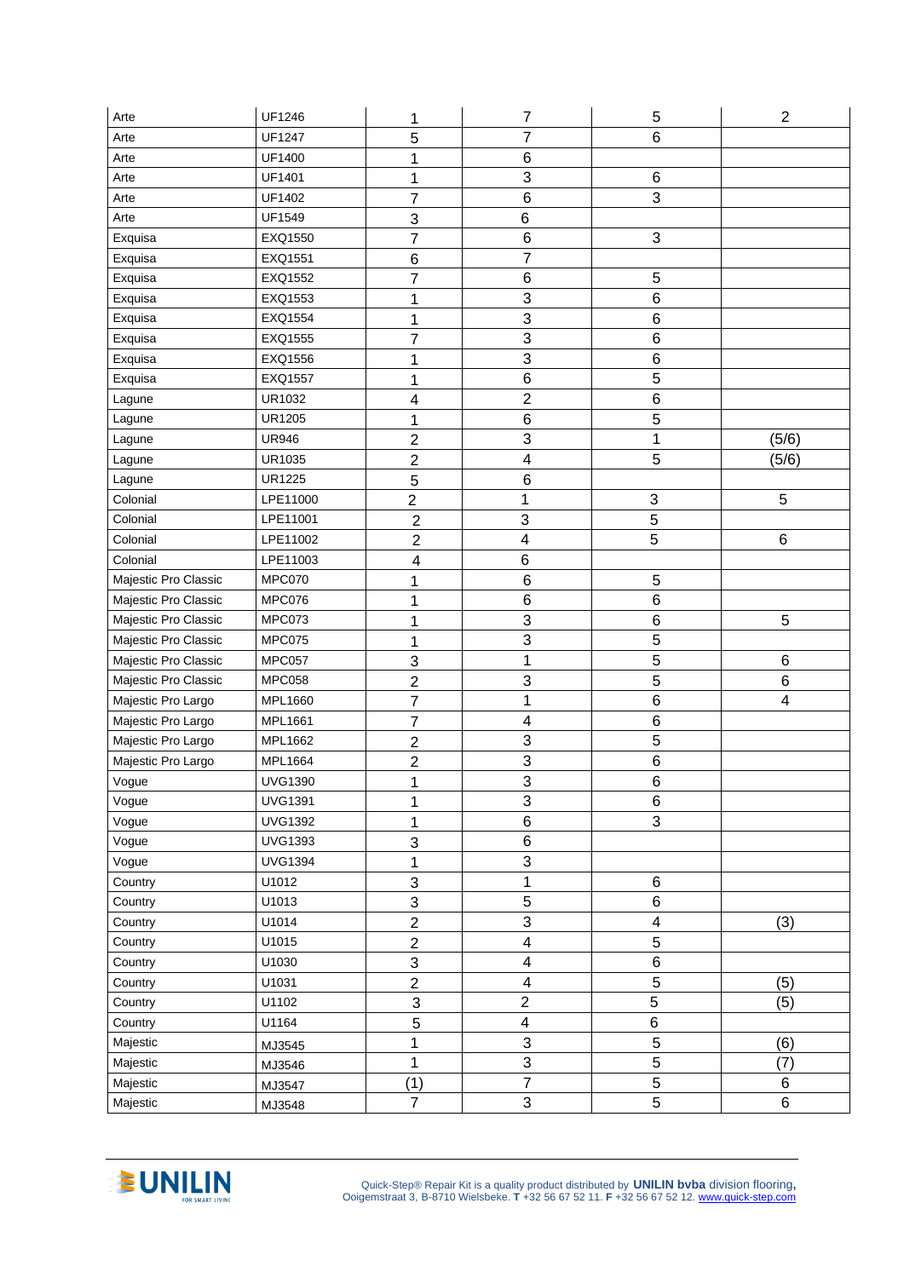| Arte                 | UF1246         | 1                         | $\boldsymbol{7}$          | $\,$ 5 $\,$               | $\overline{2}$          |
|----------------------|----------------|---------------------------|---------------------------|---------------------------|-------------------------|
| Arte                 | <b>UF1247</b>  | 5                         | $\overline{7}$            | 6                         |                         |
| Arte                 | UF1400         | 1                         | 6                         |                           |                         |
| Arte                 | UF1401         | 1                         | 3                         | 6                         |                         |
| Arte                 | UF1402         | 7                         | $\,6$                     | 3                         |                         |
| Arte                 | UF1549         | $\ensuremath{\mathsf{3}}$ | $\,6$                     |                           |                         |
| Exquisa              | EXQ1550        | $\overline{7}$            | $\,6$                     | 3                         |                         |
| Exquisa              | EXQ1551        | $\,6$                     | $\overline{7}$            |                           |                         |
| Exquisa              | EXQ1552        | $\overline{7}$            | $\,6$                     | 5                         |                         |
| Exquisa              | EXQ1553        | 1                         | 3                         | 6                         |                         |
| Exquisa              | EXQ1554        | 1                         | $\ensuremath{\mathsf{3}}$ | 6                         |                         |
| Exquisa              | EXQ1555        | 7                         | 3                         | 6                         |                         |
| Exquisa              | EXQ1556        | 1                         | 3                         | 6                         |                         |
| Exquisa              | EXQ1557        | 1                         | $\, 6$                    | 5                         |                         |
| Lagune               | UR1032         | 4                         | $\overline{2}$            | 6                         |                         |
| Lagune               | <b>UR1205</b>  | 1                         | $\,6$                     | 5                         |                         |
| Lagune               | <b>UR946</b>   | $\overline{2}$            | 3                         | 1                         | (5/6)                   |
| Lagune               | UR1035         | $\overline{c}$            | $\overline{\mathbf{4}}$   | 5                         | (5/6)                   |
| Lagune               | <b>UR1225</b>  | 5                         | $\, 6$                    |                           |                         |
| Colonial             | LPE11000       | $\overline{\mathbf{c}}$   | 1                         | $\ensuremath{\mathsf{3}}$ | 5                       |
| Colonial             | LPE11001       | $\overline{2}$            | 3                         | 5                         |                         |
| Colonial             | LPE11002       | $\overline{2}$            | $\overline{\mathbf{4}}$   | 5                         | 6                       |
| Colonial             | LPE11003       | $\overline{\mathbf{4}}$   | 6                         |                           |                         |
| Majestic Pro Classic | MPC070         | 1                         | $\,6$                     | 5                         |                         |
| Majestic Pro Classic | MPC076         | 1                         | $\,6$                     | $\,6$                     |                         |
| Majestic Pro Classic | MPC073         | 1                         | 3                         | 6                         | 5                       |
| Majestic Pro Classic | <b>MPC075</b>  | 1                         | 3                         | 5                         |                         |
| Majestic Pro Classic | <b>MPC057</b>  | 3                         | $\mathbf 1$               | $\overline{5}$            | $\,6$                   |
| Majestic Pro Classic | <b>MPC058</b>  | $\overline{2}$            | 3                         | 5                         | $\,6$                   |
| Majestic Pro Largo   | MPL1660        | $\overline{7}$            | $\mathbf 1$               | 6                         | $\overline{\mathbf{4}}$ |
| Majestic Pro Largo   | MPL1661        | $\overline{7}$            | 4                         | 6                         |                         |
| Majestic Pro Largo   | MPL1662        | $\overline{2}$            | 3                         | 5                         |                         |
| Majestic Pro Largo   | MPL1664        | $\overline{2}$            | 3                         | 6                         |                         |
| Vogue                | <b>UVG1390</b> | 1                         | $\overline{3}$            | 6                         |                         |
| Vogue                | <b>UVG1391</b> | 1                         | $\ensuremath{\mathsf{3}}$ | 6                         |                         |
| Vogue                | <b>UVG1392</b> | 1                         | 6                         | 3                         |                         |
| Vogue                | <b>UVG1393</b> | 3                         | $\, 6$                    |                           |                         |
| Vogue                | <b>UVG1394</b> | 1                         | 3                         |                           |                         |
| Country              | U1012          | $\ensuremath{\mathsf{3}}$ | $\mathbf 1$               | 6                         |                         |
| Country              | U1013          | 3                         | $\overline{5}$            | 6                         |                         |
| Country              | U1014          | $\overline{2}$            | 3                         | $\overline{\mathbf{4}}$   | (3)                     |
| Country              | U1015          | $\overline{c}$            | $\overline{\mathbf{4}}$   | 5                         |                         |
| Country              | U1030          | 3                         | $\overline{\mathbf{4}}$   | 6                         |                         |
| Country              | U1031          | $\overline{2}$            | $\overline{\mathbf{4}}$   | 5                         | (5)                     |
| Country              | U1102          | 3                         | $\overline{2}$            | 5                         | (5)                     |
| Country              | U1164          | 5                         | $\overline{\mathbf{4}}$   | 6                         |                         |
| Majestic             | MJ3545         | 1                         | $\mathbf{3}$              | 5                         | (6)                     |
| Majestic             | MJ3546         | 1                         | $\overline{3}$            | $\overline{5}$            | (7)                     |
| Majestic             | MJ3547         | (1)                       | $\overline{7}$            | $\overline{5}$            | 6                       |
| Majestic             | MJ3548         | $\overline{7}$            | 3                         | 5                         | 6                       |

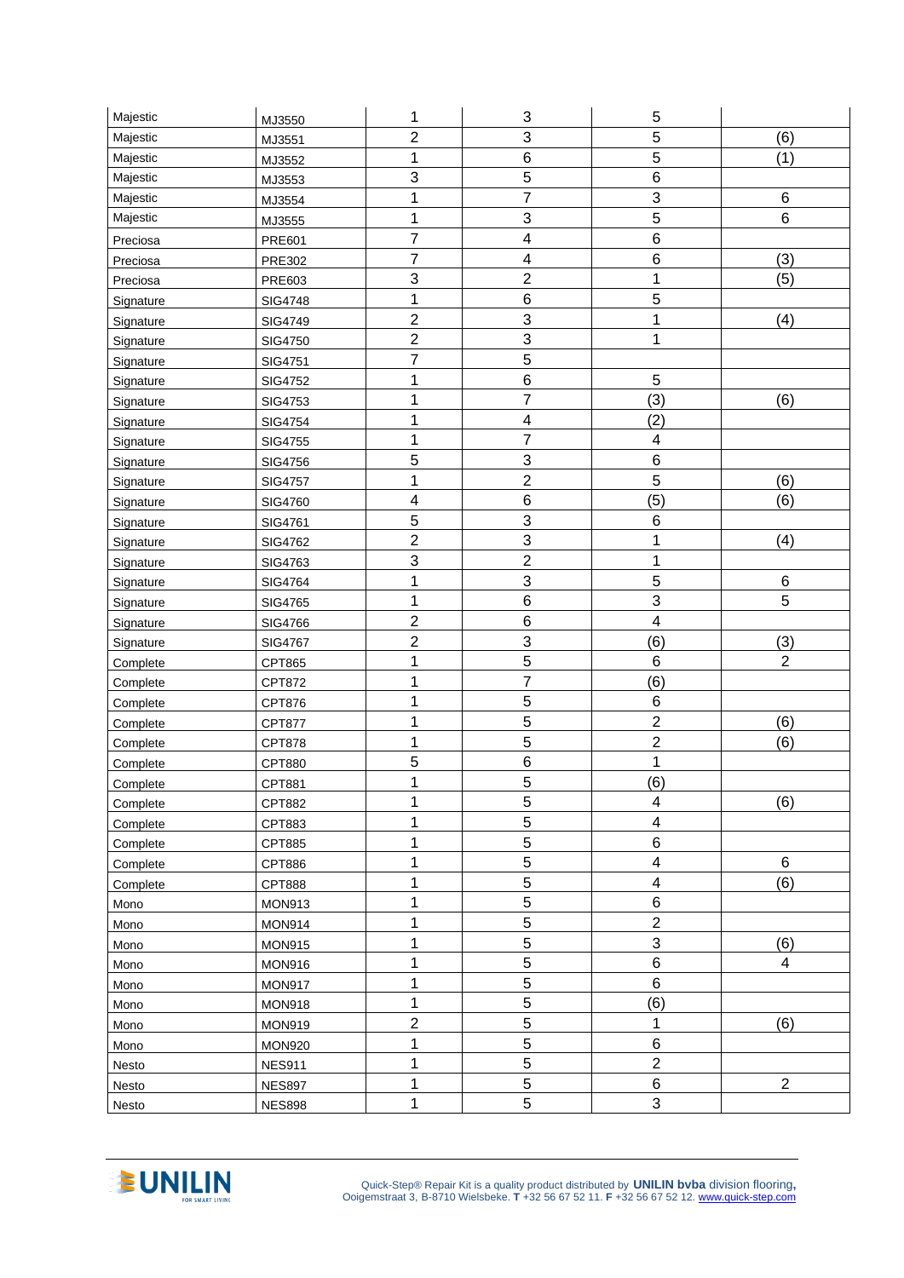| Majestic  | MJ3550        | 1              | $\ensuremath{\mathsf{3}}$ | 5                       |                  |
|-----------|---------------|----------------|---------------------------|-------------------------|------------------|
| Majestic  | MJ3551        | $\overline{c}$ | 3                         | 5                       | (6)              |
| Majestic  | MJ3552        | 1              | $\,6$                     | 5                       | (1)              |
| Majestic  | MJ3553        | 3              | $\overline{5}$            | 6                       |                  |
| Majestic  | MJ3554        | 1              | $\overline{7}$            | 3                       | $\,6$            |
| Majestic  | MJ3555        | 1              | 3                         | 5                       | $\,6$            |
| Preciosa  | <b>PRE601</b> | $\overline{7}$ | 4                         | 6                       |                  |
| Preciosa  | PRE302        | 7              | 4                         | 6                       | (3)              |
| Preciosa  | PRE603        | 3              | $\overline{c}$            | 1                       | (5)              |
| Signature | SIG4748       | 1              | $\,6$                     | 5                       |                  |
| Signature | SIG4749       | $\overline{c}$ | $\ensuremath{\mathsf{3}}$ | 1                       | (4)              |
| Signature | SIG4750       | $\overline{c}$ | $\mathsf 3$               | 1                       |                  |
| Signature | SIG4751       | $\overline{7}$ | 5                         |                         |                  |
| Signature | SIG4752       | 1              | $\, 6$                    | 5                       |                  |
| Signature | SIG4753       | 1              | $\overline{7}$            | (3)                     | (6)              |
| Signature | SIG4754       | 1              | 4                         | (2)                     |                  |
| Signature | SIG4755       | 1              | $\overline{7}$            | 4                       |                  |
| Signature | SIG4756       | 5              | $\mathbf{3}$              | 6                       |                  |
| Signature | SIG4757       | 1              | $\overline{2}$            | 5                       | (6)              |
| Signature | SIG4760       | 4              | 6                         | (5)                     | (6)              |
| Signature | SIG4761       | 5              | 3                         | 6                       |                  |
| Signature | SIG4762       | $\overline{2}$ | 3                         | 1                       | (4)              |
| Signature | SIG4763       | 3              | $\overline{c}$            | 1                       |                  |
| Signature | SIG4764       | 1              | 3                         | 5                       | $\,6$            |
| Signature | SIG4765       | 1              | $\,$ 6 $\,$               | 3                       | 5                |
| Signature | SIG4766       | $\overline{c}$ | 6                         | $\overline{\mathbf{4}}$ |                  |
| Signature | SIG4767       | $\overline{c}$ | 3                         | (6)                     | (3)              |
| Complete  | CPT865        | 1              | $\overline{5}$            | 6                       | $\overline{2}$   |
| Complete  | CPT872        | 1              | $\overline{7}$            | (6)                     |                  |
| Complete  | CPT876        | 1              | 5                         | 6                       |                  |
| Complete  | <b>CPT877</b> | 1              | 5                         | $\overline{2}$          | (6)              |
| Complete  | <b>CPT878</b> | 1              | 5                         | $\overline{2}$          | (6)              |
| Complete  | CPT880        | 5              | 6                         | 1                       |                  |
| Complete  | CPT881        | 1              | 5                         | (6)                     |                  |
| Complete  | CPT882        | 1              | 5                         | 4                       | (6)              |
| Complete  | CPT883        | 1              | 5                         | $\overline{\mathbf{4}}$ |                  |
| Complete  | CPT885        | 1              | 5                         | 6                       |                  |
| Complete  | CPT886        | 1              | 5                         | $\overline{\mathbf{4}}$ | 6                |
| Complete  | <b>CPT888</b> | 1              | 5                         | $\overline{\mathbf{4}}$ | (6)              |
| Mono      | <b>MON913</b> | 1              | 5                         | 6                       |                  |
| Mono      | <b>MON914</b> | 1              | 5                         | $\overline{2}$          |                  |
| Mono      | <b>MON915</b> | 1              | 5                         | 3                       | (6)              |
| Mono      | <b>MON916</b> | 1              | 5                         | 6                       | $\overline{4}$   |
| Mono      | <b>MON917</b> | 1              | $\overline{5}$            | 6                       |                  |
| Mono      | <b>MON918</b> | 1              | 5                         | (6)                     |                  |
| Mono      | <b>MON919</b> | $\overline{2}$ | 5                         | 1                       | (6)              |
| Mono      | <b>MON920</b> | 1              | 5                         | $\,6$                   |                  |
| Nesto     | <b>NES911</b> | 1              | $\overline{5}$            | $\overline{2}$          |                  |
| Nesto     | <b>NES897</b> | 1              | 5                         | 6                       | $\boldsymbol{2}$ |
| Nesto     | <b>NES898</b> | 1              | 5                         | 3                       |                  |